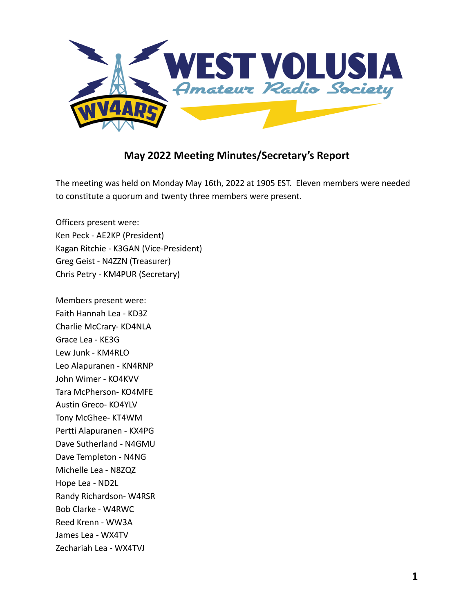

## **May 2022 Meeting Minutes/Secretary's Report**

The meeting was held on Monday May 16th, 2022 at 1905 EST. Eleven members were needed to constitute a quorum and twenty three members were present.

Officers present were: Ken Peck - AE2KP (President) Kagan Ritchie - K3GAN (Vice-President) Greg Geist - N4ZZN (Treasurer) Chris Petry - KM4PUR (Secretary)

Members present were: Faith Hannah Lea - KD3Z Charlie McCrary- KD4NLA Grace Lea - KE3G Lew Junk - KM4RLO Leo Alapuranen - KN4RNP John Wimer - KO4KVV Tara McPherson- KO4MFE Austin Greco- KO4YLV Tony McGhee- KT4WM Pertti Alapuranen - KX4PG Dave Sutherland - N4GMU Dave Templeton - N4NG Michelle Lea - N8ZQZ Hope Lea - ND2L Randy Richardson- W4RSR Bob Clarke - W4RWC Reed Krenn - WW3A James Lea - WX4TV Zechariah Lea - WX4TVJ